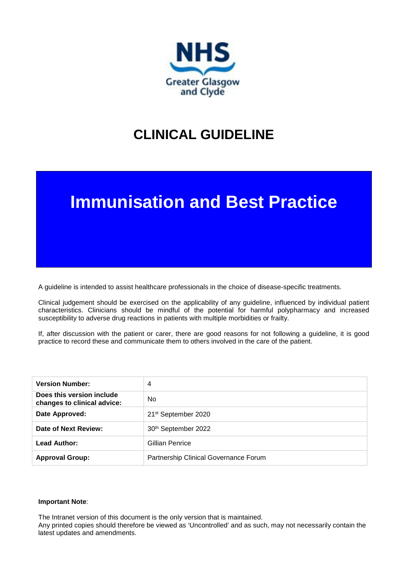

## **CLINICAL GUIDELINE**

# **Immunisation and Best Practice**

A guideline is intended to assist healthcare professionals in the choice of disease-specific treatments.

Clinical judgement should be exercised on the applicability of any guideline, influenced by individual patient characteristics. Clinicians should be mindful of the potential for harmful polypharmacy and increased susceptibility to adverse drug reactions in patients with multiple morbidities or frailty.

If, after discussion with the patient or carer, there are good reasons for not following a guideline, it is good practice to record these and communicate them to others involved in the care of the patient.

| <b>Version Number:</b>                                   | 4                                     |
|----------------------------------------------------------|---------------------------------------|
| Does this version include<br>changes to clinical advice: | N <sub>0</sub>                        |
| Date Approved:                                           | 21 <sup>st</sup> September 2020       |
| Date of Next Review:                                     | 30th September 2022                   |
| <b>Lead Author:</b>                                      | Gillian Penrice                       |
| <b>Approval Group:</b>                                   | Partnership Clinical Governance Forum |

#### **Important Note**:

The Intranet version of this document is the only version that is maintained.

Any printed copies should therefore be viewed as 'Uncontrolled' and as such, may not necessarily contain the latest updates and amendments.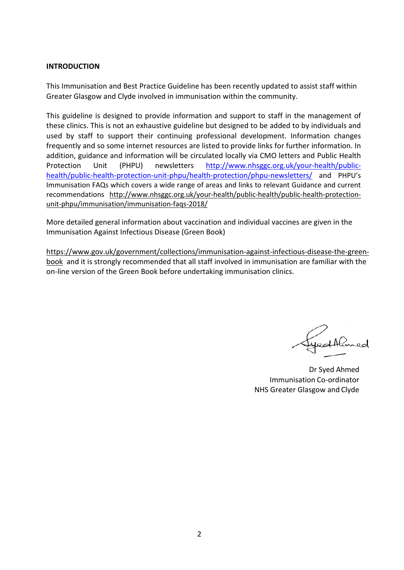#### **INTRODUCTION**

This Immunisation and Best Practice Guideline has been recently updated to assist staff within Greater Glasgow and Clyde involved in immunisation within the community.

This guideline is designed to provide information and support to staff in the management of these clinics. This is not an exhaustive guideline but designed to be added to by individuals and used by staff to support their continuing professional development. Information changes frequently and so some internet resources are listed to provide links for further information. In addition, guidance and information will be circulated locally via CMO letters and Public Health Protection Unit (PHPU) newsletters [http://www.nhsggc.org.uk/your-health/public](http://www.nhsggc.org.uk/your-health/public-health/public-health-protection-unit-phpu/health-protection/phpu-newsletters/)[health/public-health-protection-unit-phpu/health-protection/phpu-newsletters/](http://www.nhsggc.org.uk/your-health/public-health/public-health-protection-unit-phpu/health-protection/phpu-newsletters/) and PHPU's Immunisation FAQs which covers a wide range of areas and links to relevant Guidance and current recommendations [http://www.nhsggc.org.uk/your-health/public-health/public-health-protection](http://www.nhsggc.org.uk/your-health/public-health/public-health-protection-unit-phpu/immunisation/immunisation-faqs-2018/)[unit-phpu/immunisation/immunisation-faqs-2018/](http://www.nhsggc.org.uk/your-health/public-health/public-health-protection-unit-phpu/immunisation/immunisation-faqs-2018/)

More detailed general information about vaccination and individual vaccines are given in the Immunisation Against Infectious Disease (Green Book)

[https://www.gov.uk/government/collections/immunisation-against-infectious-disease-the-green](https://www.gov.uk/government/collections/immunisation-against-infectious-disease-the-green-book)[book](https://www.gov.uk/government/collections/immunisation-against-infectious-disease-the-green-book) and it is strongly recommended that all staff involved in immunisation are familiar with the on-line version of the Green Book before undertaking immunisation clinics.

edthmed

Dr Syed Ahmed Immunisation Co-ordinator NHS Greater Glasgow and Clyde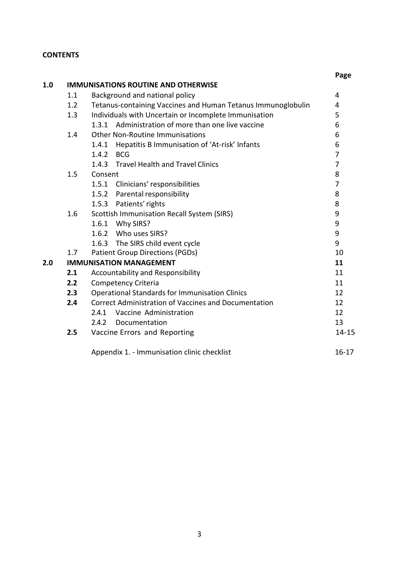## **CONTENTS**

|     |     |                                                              | Page           |
|-----|-----|--------------------------------------------------------------|----------------|
| 1.0 |     | <b>IMMUNISATIONS ROUTINE AND OTHERWISE</b>                   |                |
|     | 1.1 | Background and national policy                               | 4              |
|     | 1.2 | Tetanus-containing Vaccines and Human Tetanus Immunoglobulin | 4              |
|     | 1.3 | Individuals with Uncertain or Incomplete Immunisation        | 5              |
|     |     | 1.3.1 Administration of more than one live vaccine           | 6              |
|     | 1.4 | <b>Other Non-Routine Immunisations</b>                       | 6              |
|     |     | Hepatitis B Immunisation of 'At-risk' Infants<br>1.4.1       | 6              |
|     |     | 1.4.2<br><b>BCG</b>                                          | $\overline{7}$ |
|     |     | 1.4.3 Travel Health and Travel Clinics                       | $\overline{7}$ |
|     | 1.5 | Consent                                                      | 8              |
|     |     | 1.5.1 Clinicians' responsibilities                           | 7              |
|     |     | 1.5.2 Parental responsibility                                | 8              |
|     |     | 1.5.3 Patients' rights                                       | 8              |
|     | 1.6 | <b>Scottish Immunisation Recall System (SIRS)</b>            | 9              |
|     |     | 1.6.1 Why SIRS?                                              | 9              |
|     |     | 1.6.2 Who uses SIRS?                                         | 9              |
|     |     | 1.6.3 The SIRS child event cycle                             | 9              |
|     | 1.7 | <b>Patient Group Directions (PGDs)</b>                       | 10             |
| 2.0 |     | <b>IMMUNISATION MANAGEMENT</b>                               | 11             |
|     | 2.1 | Accountability and Responsibility                            | 11             |
|     | 2.2 | <b>Competency Criteria</b>                                   | 11             |
|     | 2.3 | <b>Operational Standards for Immunisation Clinics</b>        | 12             |
|     | 2.4 | <b>Correct Administration of Vaccines and Documentation</b>  | 12             |
|     |     | Vaccine Administration<br>2.4.1                              | 12             |
|     |     | 2.4.2<br>Documentation                                       | 13             |
|     | 2.5 | Vaccine Errors and Reporting                                 | $14 - 15$      |
|     |     | Appendix 1. - Immunisation clinic checklist                  | $16 - 17$      |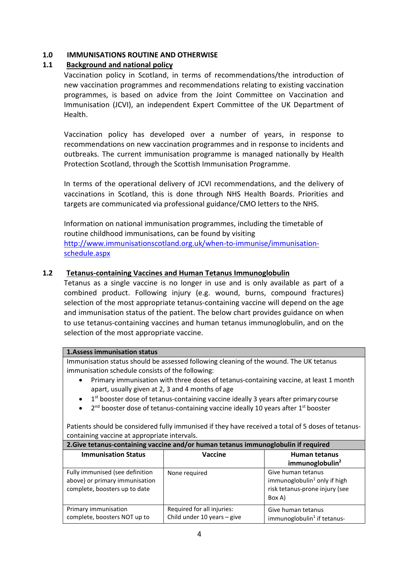## **1.0 IMMUNISATIONS ROUTINE AND OTHERWISE**

## **1.1 Background and national policy**

Vaccination policy in Scotland, in terms of recommendations/the introduction of new vaccination programmes and recommendations relating to existing vaccination programmes, is based on advice from the Joint Committee on Vaccination and Immunisation (JCVI), an independent Expert Committee of the UK Department of Health.

Vaccination policy has developed over a number of years, in response to recommendations on new vaccination programmes and in response to incidents and outbreaks. The current immunisation programme is managed nationally by Health Protection Scotland, through the Scottish Immunisation Programme.

In terms of the operational delivery of JCVI recommendations, and the delivery of vaccinations in Scotland, this is done through NHS Health Boards. Priorities and targets are communicated via professional guidance/CMO letters to the NHS.

Information on national immunisation programmes, including the timetable of routine childhood immunisations, can be found by visiting [http://www.immunisationscotland.org.uk/when-to-immunise/immunisation](http://www.immunisationscotland.org.uk/when-to-immunise/immunisation-schedule.aspx)[schedule.aspx](http://www.immunisationscotland.org.uk/when-to-immunise/immunisation-schedule.aspx)

## **1.2 Tetanus-containing Vaccines and Human Tetanus Immunoglobulin**

Tetanus as a single vaccine is no longer in use and is only available as part of a combined product. Following injury (e.g. wound, burns, compound fractures) selection of the most appropriate tetanus-containing vaccine will depend on the age and immunisation status of the patient. The below chart provides guidance on when to use tetanus-containing vaccines and human tetanus immunoglobulin, and on the selection of the most appropriate vaccine.

#### **1.Assess immunisation status**

Immunisation status should be assessed following cleaning of the wound. The UK tetanus immunisation schedule consists of the following:

- Primary immunisation with three doses of tetanus-containing vaccine, at least 1 month apart, usually given at 2, 3 and 4 months of age
- $1<sup>st</sup>$  booster dose of tetanus-containing vaccine ideally 3 years after primary course
- $2<sup>nd</sup>$  booster dose of tetanus-containing vaccine ideally 10 years after  $1<sup>st</sup>$  booster

Patients should be considered fully immunised if they have received a total of 5 doses of tetanuscontaining vaccine at appropriate intervals.

| 2.Give tetanus-containing vaccine and/or human tetanus immunoglobulin if required                  |                                                           |                                                                                                   |  |
|----------------------------------------------------------------------------------------------------|-----------------------------------------------------------|---------------------------------------------------------------------------------------------------|--|
| <b>Immunisation Status</b>                                                                         | Vaccine                                                   | <b>Human tetanus</b><br>immunoglobulin <sup>2</sup>                                               |  |
| Fully immunised (see definition<br>above) or primary immunisation<br>complete, boosters up to date | None required                                             | Give human tetanus<br>immunoglobulin $1$ only if high<br>risk tetanus-prone injury (see<br>Box A) |  |
| Primary immunisation<br>complete, boosters NOT up to                                               | Required for all injuries:<br>Child under 10 years - give | Give human tetanus<br>immunoglobulin <sup>1</sup> if tetanus-                                     |  |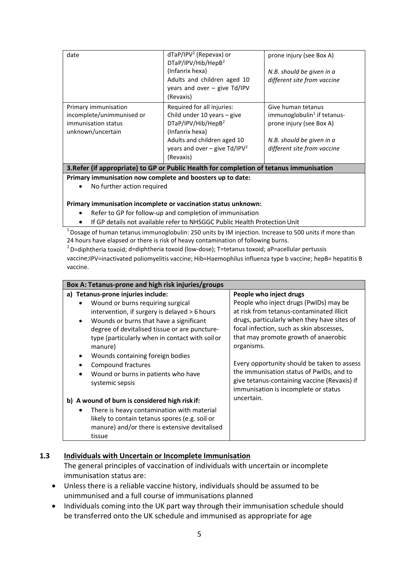| date                                                                                          | $dTaP/IPV2$ (Repevax) or<br>DTaP/IPV/Hib/HepB <sup>2</sup><br>(Infanrix hexa)<br>Adults and children aged 10<br>years and over $-$ give Td/IPV<br>(Revaxis)                                   | prone injury (see Box A)<br>N.B. should be given in a<br>different site from vaccine                                                                  |
|-----------------------------------------------------------------------------------------------|-----------------------------------------------------------------------------------------------------------------------------------------------------------------------------------------------|-------------------------------------------------------------------------------------------------------------------------------------------------------|
| Primary immunisation<br>incomplete/unimmunised or<br>immunisation status<br>unknown/uncertain | Required for all injuries:<br>Child under 10 years - give<br>DTaP/IPV/Hib/HepB <sup>2</sup><br>(Infanrix hexa)<br>Adults and children aged 10<br>years and over – give $Td/IPV2$<br>(Revaxis) | Give human tetanus<br>immunoglobulin <sup>1</sup> if tetanus-<br>prone injury (see Box A)<br>N.B. should be given in a<br>different site from vaccine |

**3.Refer (if appropriate) to GP or Public Health for completion of tetanus immunisation**

#### **Primary immunisation now complete and boosters up to date:**

• No further action required

#### **Primary immunisation incomplete or vaccination status unknown:**

- Refer to GP for follow-up and completion of immunisation
- If GP details not available refer to NHSGGC Public Health ProtectionUnit

1 Dosage of human tetanus immunoglobulin: 250 units by IM injection. Increase to 500 units if more than 24 hours have elapsed or there is risk of heavy contamination of following burns.

 $2^2$  D=diphtheria toxoid; d=diphtheria toxoid (low-dose); T=tetanus toxoid; aP=acellular pertussis vaccine;IPV=inactivated poliomyelitis vaccine; Hib=Haemophilus influenza type b vaccine; hepB= hepatitis B vaccine.

| Box A: Tetanus-prone and high risk injuries/groups                                                                                                                                                                                                                                                           |                                                                                                                                                                                                                                                                 |  |  |  |
|--------------------------------------------------------------------------------------------------------------------------------------------------------------------------------------------------------------------------------------------------------------------------------------------------------------|-----------------------------------------------------------------------------------------------------------------------------------------------------------------------------------------------------------------------------------------------------------------|--|--|--|
| a) Tetanus-prone injuries include:<br>Wound or burns requiring surgical<br>$\bullet$<br>intervention, if surgery is delayed > 6 hours<br>Wounds or burns that have a significant<br>$\bullet$<br>degree of devitalised tissue or are puncture-<br>type (particularly when in contact with soil or<br>manure) | People who inject drugs<br>People who inject drugs (PwIDs) may be<br>at risk from tetanus-contaminated illicit<br>drugs, particularly when they have sites of<br>focal infection, such as skin abscesses,<br>that may promote growth of anaerobic<br>organisms. |  |  |  |
| Wounds containing foreign bodies<br><b>Compound fractures</b><br>$\bullet$<br>Wound or burns in patients who have<br>$\bullet$<br>systemic sepsis                                                                                                                                                            | Every opportunity should be taken to assess<br>the immunisation status of PwIDs, and to<br>give tetanus-containing vaccine (Revaxis) if<br>immunisation is incomplete or status                                                                                 |  |  |  |
| b) A wound of burn is considered high risk if:                                                                                                                                                                                                                                                               | uncertain.                                                                                                                                                                                                                                                      |  |  |  |
| There is heavy contamination with material<br>٠<br>likely to contain tetanus spores (e.g. soil or<br>manure) and/or there is extensive devitalised<br>tissue                                                                                                                                                 |                                                                                                                                                                                                                                                                 |  |  |  |

#### **1.3 Individuals with Uncertain or Incomplete Immunisation**

The general principles of vaccination of individuals with uncertain or incomplete immunisation status are:

- Unless there is a reliable vaccine history, individuals should be assumed to be unimmunised and a full course of immunisations planned
- Individuals coming into the UK part way through their immunisation schedule should be transferred onto the UK schedule and immunised as appropriate for age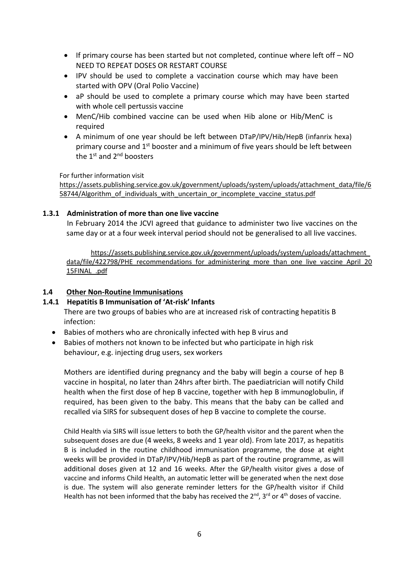- If primary course has been started but not completed, continue where left off NO NEED TO REPEAT DOSES OR RESTART COURSE
- IPV should be used to complete a vaccination course which may have been started with OPV (Oral Polio Vaccine)
- aP should be used to complete a primary course which may have been started with whole cell pertussis vaccine
- MenC/Hib combined vaccine can be used when Hib alone or Hib/MenC is required
- A minimum of one year should be left between DTaP/IPV/Hib/HepB (infanrix hexa) primary course and 1st booster and a minimum of five years should be left between the 1<sup>st</sup> and 2<sup>nd</sup> boosters

For further information visit

[https://assets.publishing.service.gov.uk/government/uploads/system/uploads/attachment\\_data/file/6](https://assets.publishing.service.gov.uk/government/uploads/system/uploads/attachment_data/file/658744/Algorithm_of_individuals_with_uncertain_or_incomplete_vaccine_status.pdf) [58744/Algorithm\\_of\\_individuals\\_with\\_uncertain\\_or\\_incomplete\\_vaccine\\_status.pdf](https://assets.publishing.service.gov.uk/government/uploads/system/uploads/attachment_data/file/658744/Algorithm_of_individuals_with_uncertain_or_incomplete_vaccine_status.pdf)

#### **1.3.1 Administration of more than one live vaccine**

In February 2014 the JCVI agreed that guidance to administer two live vaccines on the same day or at a four week interval period should not be generalised to all live vaccines.

[https://assets.publishing.service.gov.uk/government/uploads/system/uploads/attachment\\_](https://assets.publishing.service.gov.uk/government/uploads/system/uploads/attachment_data/file/422798/PHE_recommendations_for_administering_more_than_one_live_vaccine_April_2015FINAL_.pdf) [data/file/422798/PHE\\_recommendations\\_for\\_administering\\_more\\_than\\_one\\_live\\_vaccine\\_April\\_20](https://assets.publishing.service.gov.uk/government/uploads/system/uploads/attachment_data/file/422798/PHE_recommendations_for_administering_more_than_one_live_vaccine_April_2015FINAL_.pdf) [15FINAL\\_.pdf](https://assets.publishing.service.gov.uk/government/uploads/system/uploads/attachment_data/file/422798/PHE_recommendations_for_administering_more_than_one_live_vaccine_April_2015FINAL_.pdf)

## **1.4 Other Non-Routine Immunisations**

## **1.4.1 Hepatitis B Immunisation of 'At-risk' Infants**

There are two groups of babies who are at increased risk of contracting hepatitis B infection:

- Babies of mothers who are chronically infected with hep B virus and
- Babies of mothers not known to be infected but who participate in high risk behaviour, e.g. injecting drug users, sex workers

Mothers are identified during pregnancy and the baby will begin a course of hep B vaccine in hospital, no later than 24hrs after birth. The paediatrician will notify Child health when the first dose of hep B vaccine, together with hep B immunoglobulin, if required, has been given to the baby. This means that the baby can be called and recalled via SIRS for subsequent doses of hep B vaccine to complete the course.

Child Health via SIRS will issue letters to both the GP/health visitor and the parent when the subsequent doses are due (4 weeks, 8 weeks and 1 year old). From late 2017, as hepatitis B is included in the routine childhood immunisation programme, the dose at eight weeks will be provided in DTaP/IPV/Hib/HepB as part of the routine programme, as will additional doses given at 12 and 16 weeks. After the GP/health visitor gives a dose of vaccine and informs Child Health, an automatic letter will be generated when the next dose is due. The system will also generate reminder letters for the GP/health visitor if Child Health has not been informed that the baby has received the  $2^{nd}$ ,  $3^{rd}$  or  $4^{th}$  doses of vaccine.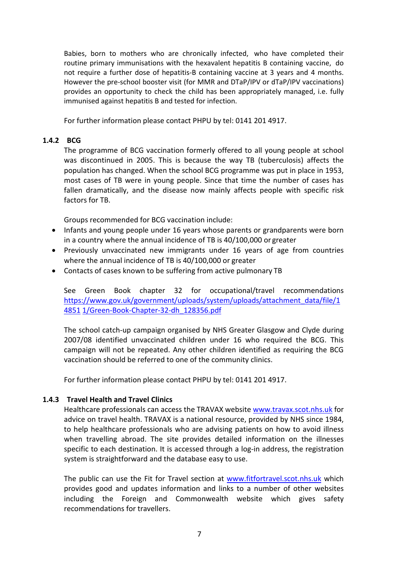Babies, born to mothers who are chronically infected, who have completed their routine primary immunisations with the hexavalent hepatitis B containing vaccine, do not require a further dose of hepatitis-B containing vaccine at 3 years and 4 months. However the pre-school booster visit (for MMR and DTaP/IPV or dTaP/IPV vaccinations) provides an opportunity to check the child has been appropriately managed, i.e. fully immunised against hepatitis B and tested for infection.

For further information please contact PHPU by tel: 0141 201 4917.

## **1.4.2 BCG**

The programme of BCG vaccination formerly offered to all young people at school was discontinued in 2005. This is because the way TB (tuberculosis) affects the population has changed. When the school BCG programme was put in place in 1953, most cases of TB were in young people. Since that time the number of cases has fallen dramatically, and the disease now mainly affects people with specific risk factors for TB.

Groups recommended for BCG vaccination include:

- Infants and young people under 16 years whose parents or grandparents were born in a country where the annual incidence of TB is 40/100,000 or greater
- Previously unvaccinated new immigrants under 16 years of age from countries where the annual incidence of TB is 40/100,000 or greater
- Contacts of cases known to be suffering from active pulmonary TB

See Green Book chapter 32 for occupational/travel recommendations [https://www.gov.uk/government/uploads/system/uploads/attachment\\_data/file/1](https://www.gov.uk/government/uploads/system/uploads/attachment_data/file/148511/Green-Book-Chapter-32-dh_128356.pdf) [4851](https://www.gov.uk/government/uploads/system/uploads/attachment_data/file/148511/Green-Book-Chapter-32-dh_128356.pdf) [1/Green-Book-Chapter-32-dh\\_128356.pdf](https://www.gov.uk/government/uploads/system/uploads/attachment_data/file/148511/Green-Book-Chapter-32-dh_128356.pdf)

The school catch-up campaign organised by NHS Greater Glasgow and Clyde during 2007/08 identified unvaccinated children under 16 who required the BCG. This campaign will not be repeated. Any other children identified as requiring the BCG vaccination should be referred to one of the community clinics.

For further information please contact PHPU by tel: 0141 201 4917.

#### **1.4.3 Travel Health and Travel Clinics**

Healthcare professionals can access the TRAVAX websit[e www.travax.scot.nhs.uk](http://www.travax.scot.nhs.uk/) for advice on travel health. TRAVAX is a national resource, provided by NHS since 1984, to help healthcare professionals who are advising patients on how to avoid illness when travelling abroad. The site provides detailed information on the illnesses specific to each destination. It is accessed through a log-in address, the registration system is straightforward and the database easy to use.

The public can use the Fit for Travel section at [www.fitfortravel.scot.nhs.uk](http://www.fitfortravel.scot.nhs.uk/) which provides good and updates information and links to a number of other websites including the Foreign and Commonwealth website which gives safety recommendations for travellers.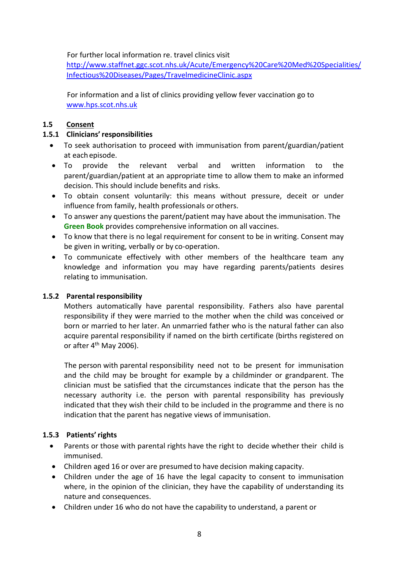For further local information re. travel clinics visit

[http://www.staffnet.ggc.scot.nhs.uk/Acute/Emergency%20Care%20Med%20Specialities/](http://www.staffnet.ggc.scot.nhs.uk/Acute/Emergency%20Care%20Med%20Specialities/Infectious%20Diseases/Pages/TravelmedicineClinic.aspx) [Infectious%20Diseases/Pages/TravelmedicineClinic.aspx](http://www.staffnet.ggc.scot.nhs.uk/Acute/Emergency%20Care%20Med%20Specialities/Infectious%20Diseases/Pages/TravelmedicineClinic.aspx)

For information and a list of clinics providing yellow fever vaccination go to [www.hps.scot.nhs.uk](http://www.hps.scot.nhs.uk/)

## **1.5 Consent**

## **1.5.1 Clinicians' responsibilities**

- To seek authorisation to proceed with immunisation from parent/guardian/patient at eachepisode.
- To provide the relevant verbal and written information to the parent/guardian/patient at an appropriate time to allow them to make an informed decision. This should include benefits and risks.
- To obtain consent voluntarily: this means without pressure, deceit or under influence from family, health professionals or others.
- To answer any questions the parent/patient may have about the immunisation. The **Green Book** provides comprehensive information on all vaccines.
- To know that there is no legal requirement for consent to be in writing. Consent may be given in writing, verbally or by co-operation.
- To communicate effectively with other members of the healthcare team any knowledge and information you may have regarding parents/patients desires relating to immunisation.

## **1.5.2 Parental responsibility**

Mothers automatically have parental responsibility. Fathers also have parental responsibility if they were married to the mother when the child was conceived or born or married to her later. An unmarried father who is the natural father can also acquire parental responsibility if named on the birth certificate (births registered on or after  $4<sup>th</sup>$  May 2006).

The person with parental responsibility need not to be present for immunisation and the child may be brought for example by a childminder or grandparent. The clinician must be satisfied that the circumstances indicate that the person has the necessary authority i.e. the person with parental responsibility has previously indicated that they wish their child to be included in the programme and there is no indication that the parent has negative views of immunisation.

## **1.5.3 Patients' rights**

- Parents or those with parental rights have the right to decide whether their child is immunised.
- Children aged 16 or over are presumed to have decision making capacity.
- Children under the age of 16 have the legal capacity to consent to immunisation where, in the opinion of the clinician, they have the capability of understanding its nature and consequences.
- Children under 16 who do not have the capability to understand, a parent or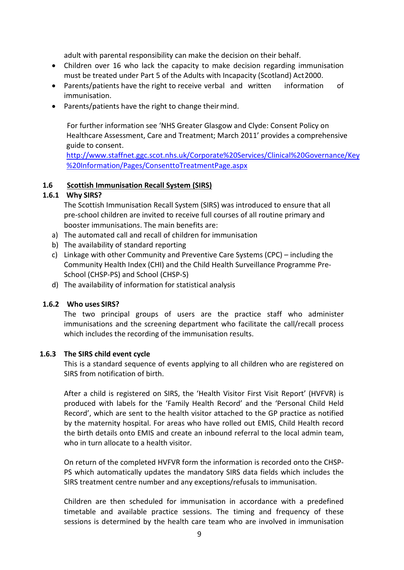adult with parental responsibility can make the decision on their behalf.

- Children over 16 who lack the capacity to make decision regarding immunisation must be treated under Part 5 of the Adults with Incapacity (Scotland) Act2000.
- Parents/patients have the right to receive verbal and written information of immunisation.
- Parents/patients have the right to change their mind.

For further information see 'NHS Greater Glasgow and Clyde: Consent Policy on Healthcare Assessment, Care and Treatment; March 2011' provides a comprehensive guide to consent.

[http://www.staffnet.ggc.scot.nhs.uk/Corporate%20Services/Clinical%20Governance/Key](http://www.staffnet.ggc.scot.nhs.uk/Corporate%20Services/Clinical%20Governance/Key%20Information/Pages/ConsenttoTreatmentPage.aspx) [%20Information/Pages/ConsenttoTreatmentPage.aspx](http://www.staffnet.ggc.scot.nhs.uk/Corporate%20Services/Clinical%20Governance/Key%20Information/Pages/ConsenttoTreatmentPage.aspx)

## **1.6 Scottish Immunisation Recall System (SIRS)**

## **1.6.1 Why SIRS?**

The Scottish Immunisation Recall System (SIRS) was introduced to ensure that all pre-school children are invited to receive full courses of all routine primary and booster immunisations. The main benefits are:

- a) The automated call and recall of children for immunisation
- b) The availability of standard reporting
- c) Linkage with other Community and Preventive Care Systems (CPC) including the Community Health Index (CHI) and the Child Health Surveillance Programme Pre-School (CHSP-PS) and School (CHSP-S)
- d) The availability of information for statistical analysis

#### **1.6.2 Who uses SIRS?**

The two principal groups of users are the practice staff who administer immunisations and the screening department who facilitate the call/recall process which includes the recording of the immunisation results.

#### **1.6.3 The SIRS child event cycle**

This is a standard sequence of events applying to all children who are registered on SIRS from notification of birth.

After a child is registered on SIRS, the 'Health Visitor First Visit Report' (HVFVR) is produced with labels for the 'Family Health Record' and the 'Personal Child Held Record', which are sent to the health visitor attached to the GP practice as notified by the maternity hospital. For areas who have rolled out EMIS, Child Health record the birth details onto EMIS and create an inbound referral to the local admin team, who in turn allocate to a health visitor.

On return of the completed HVFVR form the information is recorded onto the CHSP-PS which automatically updates the mandatory SIRS data fields which includes the SIRS treatment centre number and any exceptions/refusals to immunisation.

Children are then scheduled for immunisation in accordance with a predefined timetable and available practice sessions. The timing and frequency of these sessions is determined by the health care team who are involved in immunisation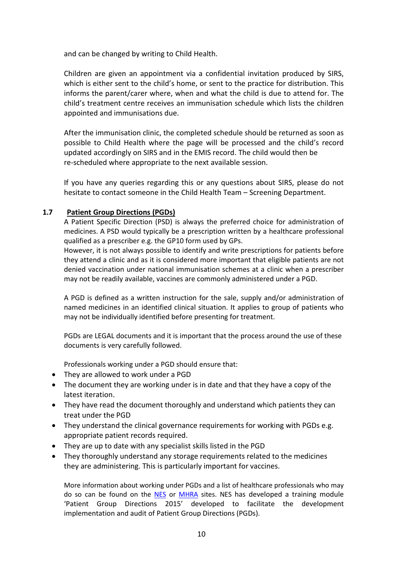and can be changed by writing to Child Health.

Children are given an appointment via a confidential invitation produced by SIRS, which is either sent to the child's home, or sent to the practice for distribution. This informs the parent/carer where, when and what the child is due to attend for. The child's treatment centre receives an immunisation schedule which lists the children appointed and immunisations due.

After the immunisation clinic, the completed schedule should be returned as soon as possible to Child Health where the page will be processed and the child's record updated accordingly on SIRS and in the EMIS record. The child would then be re-scheduled where appropriate to the next available session.

If you have any queries regarding this or any questions about SIRS, please do not hesitate to contact someone in the Child Health Team – Screening Department.

## **1.7 Patient Group Directions (PGDs)**

A Patient Specific Direction (PSD) is always the preferred choice for administration of medicines. A PSD would typically be a prescription written by a healthcare professional qualified as a prescriber e.g. the GP10 form used by GPs.

However, it is not always possible to identify and write prescriptions for patients before they attend a clinic and as it is considered more important that eligible patients are not denied vaccination under national immunisation schemes at a clinic when a prescriber may not be readily available, vaccines are commonly administered under a PGD.

A PGD is defined as a written instruction for the sale, supply and/or administration of named medicines in an identified clinical situation. It applies to group of patients who may not be individually identified before presenting for treatment.

PGDs are LEGAL documents and it is important that the process around the use of these documents is very carefully followed.

Professionals working under a PGD should ensure that:

- They are allowed to work under a PGD
- The document they are working under is in date and that they have a copy of the latest iteration.
- They have read the document thoroughly and understand which patients they can treat under the PGD
- They understand the clinical governance requirements for working with PGDs e.g. appropriate patient records required.
- They are up to date with any specialist skills listed in the PGD
- They thoroughly understand any storage requirements related to the medicines they are administering. This is particularly important for vaccines.

More information about working under PGDs and a list of healthcare professionals who may do so can be found on the [NES](http://www.nes.scot.nhs.uk/education-and-training/by-theme-initiative/prescribing-and-patient-group-direction.aspx) or [MHRA](https://www.gov.uk/government/publications/patient-group-directions-pgds) sites. NES has developed a training module 'Patient Group Directions 2015' developed to facilitate the development implementation and audit of Patient Group Directions (PGDs).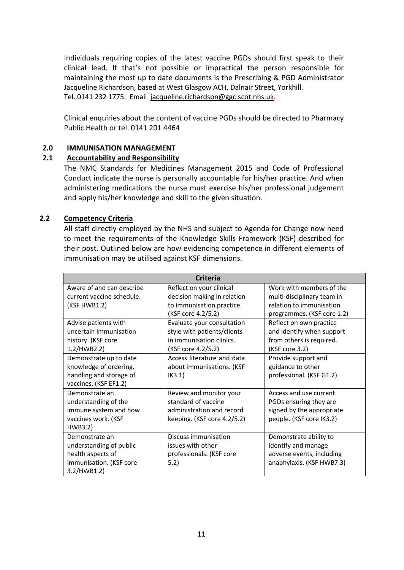Individuals requiring copies of the latest vaccine PGDs should first speak to their clinical lead. If that's not possible or impractical the person responsible for maintaining the most up to date documents is the Prescribing & PGD Administrator Jacqueline Richardson, based at West Glasgow ACH, Dalnair Street, Yorkhill. Tel. 0141 232 1775. Email [jacqueline.richardson@ggc.scot.nhs.uk.](mailto:jacqueline.richardson@ggc.scot.nhs.uk)

Clinical enquiries about the content of vaccine PGDs should be directed to Pharmacy Public Health or tel. 0141 201 4464

#### <span id="page-10-0"></span>**2.0 IMMUNISATION MANAGEMENT**

## <span id="page-10-1"></span>**2.1 Accountability and Responsibility**

The NMC Standards for Medicines Management 2015 and Code of Professional Conduct indicate the nurse is personally accountable for his/her practice. And when administering medications the nurse must exercise his/her professional judgement and apply his/her knowledge and skill to the given situation.

## <span id="page-10-2"></span>**2.2 Competency Criteria**

All staff directly employed by the NHS and subject to Agenda for Change now need to meet the requirements of the Knowledge Skills Framework (KSF) described for their post. Outlined below are how evidencing competence in different elements of immunisation may be utilised against KSF dimensions.

| <b>Criteria</b>           |                             |                            |  |
|---------------------------|-----------------------------|----------------------------|--|
| Aware of and can describe | Reflect on your clinical    | Work with members of the   |  |
| current vaccine schedule. | decision making in relation | multi-disciplinary team in |  |
| (KSF HWB1.2)              | to immunisation practice.   | relation to immunisation   |  |
|                           | (KSF core 4.2/5.2)          | programmes. (KSF core 1.2) |  |
| Advise patients with      | Evaluate your consultation  | Reflect on own practice    |  |
| uncertain immunisation    | style with patients/clients | and identify when support  |  |
| history. (KSF core        | in immunisation clinics.    | from others is required.   |  |
| 1.2/HWB2.2)               | (KSF core 4.2/5.2)          | (KSF core 3.2)             |  |
| Demonstrate up to date    | Access literature and data  | Provide support and        |  |
| knowledge of ordering,    | about immunisations. (KSF   | guidance to other          |  |
| handling and storage of   | IK3.1)                      | professional. (KSF G1.2)   |  |
| vaccines. (KSF EF1.2)     |                             |                            |  |
| Demonstrate an            | Review and monitor your     | Access and use current     |  |
| understanding of the      | standard of vaccine         | PGDs ensuring they are     |  |
| immune system and how     | administration and record   | signed by the appropriate  |  |
| vaccines work. (KSF       | keeping. (KSF core 4.2/5.2) | people. (KSF core IK3.2)   |  |
| HWB3.2)                   |                             |                            |  |
| Demonstrate an            | Discuss immunisation        | Demonstrate ability to     |  |
| understanding of public   | issues with other           | identify and manage        |  |
| health aspects of         | professionals. (KSF core    | adverse events, including  |  |
| immunisation. (KSF core   | 5.2)                        | anaphylaxis. (KSF HWB7.3)  |  |
| 3.2/HWB1.2)               |                             |                            |  |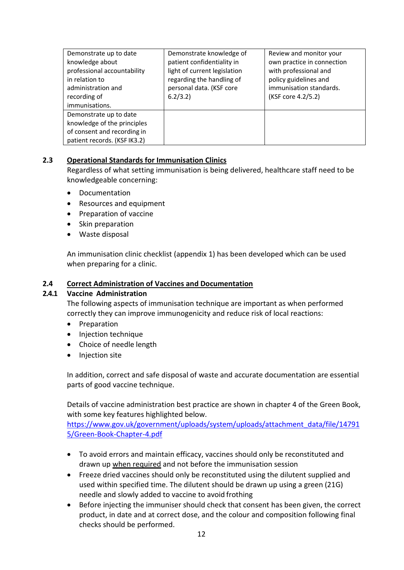| Demonstrate up to date<br>knowledge about<br>professional accountability<br>in relation to<br>administration and<br>recording of<br>immunisations. | Demonstrate knowledge of<br>patient confidentiality in<br>light of current legislation<br>regarding the handling of<br>personal data. (KSF core<br>6.2/3.2) | Review and monitor your<br>own practice in connection<br>with professional and<br>policy guidelines and<br>immunisation standards.<br>(KSF core 4.2/5.2) |
|----------------------------------------------------------------------------------------------------------------------------------------------------|-------------------------------------------------------------------------------------------------------------------------------------------------------------|----------------------------------------------------------------------------------------------------------------------------------------------------------|
| Demonstrate up to date<br>knowledge of the principles<br>of consent and recording in<br>patient records. (KSF IK3.2)                               |                                                                                                                                                             |                                                                                                                                                          |

## <span id="page-11-0"></span>**2.3 Operational Standards for Immunisation Clinics**

Regardless of what setting immunisation is being delivered, healthcare staff need to be knowledgeable concerning:

- Documentation
- Resources and equipment
- Preparation of vaccine
- Skin preparation
- Waste disposal

An immunisation clinic checklist (appendix 1) has been developed which can be used when preparing for a clinic.

#### <span id="page-11-1"></span>**2.4 Correct Administration of Vaccines and Documentation**

#### <span id="page-11-2"></span>**2.4.1 Vaccine Administration**

The following aspects of immunisation technique are important as when performed correctly they can improve immunogenicity and reduce risk of local reactions:

- Preparation
- Injection technique
- Choice of needle length
- Injection site

In addition, correct and safe disposal of waste and accurate documentation are essential parts of good vaccine technique.

Details of vaccine administration best practice are shown in chapter 4 of the Green Book, with some key features highlighted below.

[https://www.gov.uk/government/uploads/system/uploads/attachment\\_data/file/14791](https://www.gov.uk/government/uploads/system/uploads/attachment_data/file/147915/Green-Book-Chapter-4.pdf) [5/Green-Book-Chapter-4.pdf](https://www.gov.uk/government/uploads/system/uploads/attachment_data/file/147915/Green-Book-Chapter-4.pdf)

- To avoid errors and maintain efficacy, vaccines should only be reconstituted and drawn up when required and not before the immunisation session
- Freeze dried vaccines should only be reconstituted using the dilutent supplied and used within specified time. The dilutent should be drawn up using a green (21G) needle and slowly added to vaccine to avoid frothing
- Before injecting the immuniser should check that consent has been given, the correct product, in date and at correct dose, and the colour and composition following final checks should be performed.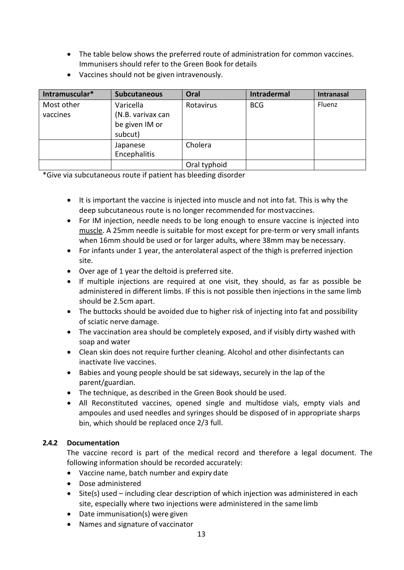- The table below shows the preferred route of administration for common vaccines. Immunisers should refer to the Green Book for details
- Vaccines should not be given intravenously.

| Intramuscular*         | <b>Subcutaneous</b>                              | Oral         | <b>Intradermal</b> | <b>Intranasal</b> |
|------------------------|--------------------------------------------------|--------------|--------------------|-------------------|
| Most other<br>vaccines | Varicella<br>(N.B. varivax can<br>be given IM or | Rotavirus    | <b>BCG</b>         | Fluenz            |
|                        | subcut)                                          |              |                    |                   |
|                        | Japanese<br>Encephalitis                         | Cholera      |                    |                   |
|                        |                                                  | Oral typhoid |                    |                   |

\*Give via subcutaneous route if patient has bleeding disorder

- It is important the vaccine is injected into muscle and not into fat. This is why the deep subcutaneous route is no longer recommended for mostvaccines.
- For IM injection, needle needs to be long enough to ensure vaccine is injected into muscle. A 25mm needle is suitable for most except for pre-term or very small infants when 16mm should be used or for larger adults, where 38mm may be necessary.
- For infants under 1 year, the anterolateral aspect of the thigh is preferred injection site.
- Over age of 1 year the deltoid is preferred site.
- If multiple injections are required at one visit, they should, as far as possible be administered in different limbs. IF this is not possible then injections in the same limb should be 2.5cm apart.
- The buttocks should be avoided due to higher risk of injecting into fat and possibility of sciatic nerve damage.
- The vaccination area should be completely exposed, and if visibly dirty washed with soap and water
- Clean skin does not require further cleaning. Alcohol and other disinfectants can inactivate live vaccines.
- Babies and young people should be sat sideways, securely in the lap of the parent/guardian.
- The technique, as described in the Green Book should be used.
- All Reconstituted vaccines, opened single and multidose vials, empty vials and ampoules and used needles and syringes should be disposed of in appropriate sharps bin, which should be replaced once 2/3 full.

## <span id="page-12-0"></span>**2.4.2 Documentation**

The vaccine record is part of the medical record and therefore a legal document. The following information should be recorded accurately:

- Vaccine name, batch number and expiry date
- Dose administered
- Site(s) used including clear description of which injection was administered in each site, especially where two injections were administered in the samelimb
- Date immunisation(s) were given
- Names and signature of vaccinator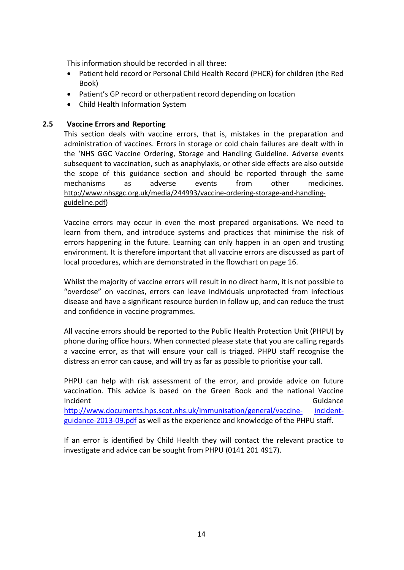This information should be recorded in all three:

- Patient held record or Personal Child Health Record (PHCR) for children (the Red Book)
- Patient's GP record or otherpatient record depending on location
- Child Health Information System

## <span id="page-13-0"></span>**2.5 Vaccine Errors and Reporting**

This section deals with vaccine errors, that is, mistakes in the preparation and administration of vaccines. Errors in storage or cold chain failures are dealt with in the 'NHS GGC Vaccine Ordering, Storage and Handling Guideline. Adverse events subsequent to vaccination, such as anaphylaxis, or other side effects are also outside the scope of this guidance section and should be reported through the same mechanisms as adverse events from other medicines. [http://www.nhsggc.org.uk/media/244993/vaccine-ordering-storage-and-handling](http://www.nhsggc.org.uk/media/244993/vaccine-ordering-storage-and-handling-guideline.pdf)[guideline.pdf\)](http://www.nhsggc.org.uk/media/244993/vaccine-ordering-storage-and-handling-guideline.pdf)

Vaccine errors may occur in even the most prepared organisations. We need to learn from them, and introduce systems and practices that minimise the risk of errors happening in the future. Learning can only happen in an open and trusting environment. It is therefore important that all vaccine errors are discussed as part of local procedures, which are demonstrated in the flowchart on page 16.

Whilst the majority of vaccine errors will result in no direct harm, it is not possible to "overdose" on vaccines, errors can leave individuals unprotected from infectious disease and have a significant resource burden in follow up, and can reduce the trust and confidence in vaccine programmes.

All vaccine errors should be reported to the Public Health Protection Unit (PHPU) by phone during office hours. When connected please state that you are calling regards a vaccine error, as that will ensure your call is triaged. PHPU staff recognise the distress an error can cause, and will try as far as possible to prioritise your call.

PHPU can help with risk assessment of the error, and provide advice on future vaccination. This advice is based on the Green Book and the national Vaccine Incident Contract Contract Contract Contract Contract Contract Contract Contract Contract Contract Contract Co [http://www.documents.hps.scot.nhs.uk/immunisation/general/vaccine-](http://www.nhsggc.org.uk/media/242890/hps-vaccine-incident-guidance-2013.pdf) [incident](http://www.nhsggc.org.uk/media/242890/hps-vaccine-incident-guidance-2013.pdf)[guidance-2013-09.pdf](http://www.nhsggc.org.uk/media/242890/hps-vaccine-incident-guidance-2013.pdf) as well as the experience and knowledge of the PHPU staff.

If an error is identified by Child Health they will contact the relevant practice to investigate and advice can be sought from PHPU (0141 201 4917).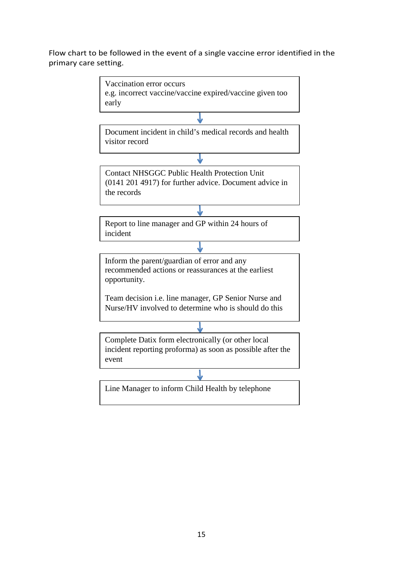## Flow chart to be followed in the event of a single vaccine error identified in the primary care setting.

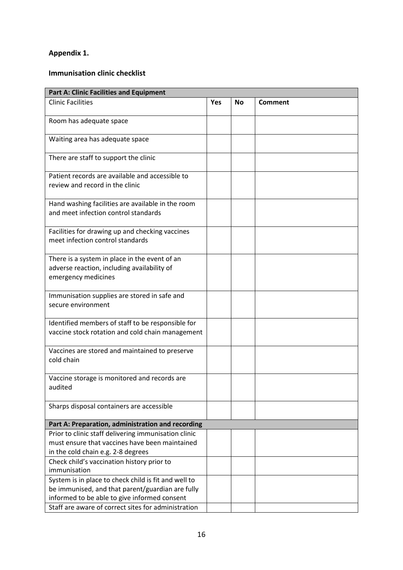## **Appendix 1.**

## **Immunisation clinic checklist**

| <b>Part A: Clinic Facilities and Equipment</b>                                                                      |            |    |                |  |
|---------------------------------------------------------------------------------------------------------------------|------------|----|----------------|--|
| <b>Clinic Facilities</b>                                                                                            | <b>Yes</b> | No | <b>Comment</b> |  |
| Room has adequate space                                                                                             |            |    |                |  |
| Waiting area has adequate space                                                                                     |            |    |                |  |
| There are staff to support the clinic                                                                               |            |    |                |  |
| Patient records are available and accessible to<br>review and record in the clinic                                  |            |    |                |  |
| Hand washing facilities are available in the room<br>and meet infection control standards                           |            |    |                |  |
| Facilities for drawing up and checking vaccines<br>meet infection control standards                                 |            |    |                |  |
| There is a system in place in the event of an<br>adverse reaction, including availability of<br>emergency medicines |            |    |                |  |
| Immunisation supplies are stored in safe and<br>secure environment                                                  |            |    |                |  |
| Identified members of staff to be responsible for<br>vaccine stock rotation and cold chain management               |            |    |                |  |
| Vaccines are stored and maintained to preserve<br>cold chain                                                        |            |    |                |  |
| Vaccine storage is monitored and records are<br>audited                                                             |            |    |                |  |
| Sharps disposal containers are accessible                                                                           |            |    |                |  |
| Part A: Preparation, administration and recording                                                                   |            |    |                |  |
| Prior to clinic staff delivering immunisation clinic                                                                |            |    |                |  |
| must ensure that vaccines have been maintained<br>in the cold chain e.g. 2-8 degrees                                |            |    |                |  |
| Check child's vaccination history prior to<br>immunisation                                                          |            |    |                |  |
| System is in place to check child is fit and well to                                                                |            |    |                |  |
| be immunised, and that parent/guardian are fully                                                                    |            |    |                |  |
| informed to be able to give informed consent                                                                        |            |    |                |  |
| Staff are aware of correct sites for administration                                                                 |            |    |                |  |